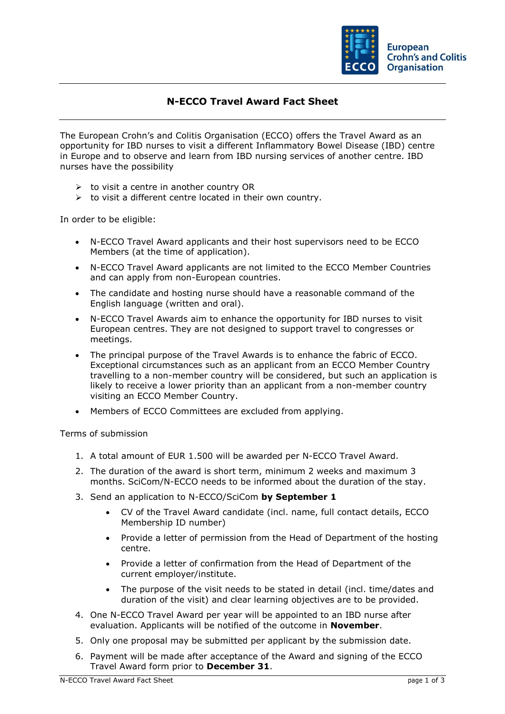

## **N-ECCO Travel Award Fact Sheet**

The European Crohn's and Colitis Organisation (ECCO) offers the Travel Award as an opportunity for IBD nurses to visit a different Inflammatory Bowel Disease (IBD) centre in Europe and to observe and learn from IBD nursing services of another centre. IBD nurses have the possibility

- $\triangleright$  to visit a centre in another country OR
- $\triangleright$  to visit a different centre located in their own country.

In order to be eligible:

- N-ECCO Travel Award applicants and their host supervisors need to be ECCO Members (at the time of application).
- N-ECCO Travel Award applicants are not limited to the ECCO Member Countries and can apply from non-European countries.
- The candidate and hosting nurse should have a reasonable command of the English language (written and oral).
- N-ECCO Travel Awards aim to enhance the opportunity for IBD nurses to visit European centres. They are not designed to support travel to congresses or meetings.
- The principal purpose of the Travel Awards is to enhance the fabric of ECCO. Exceptional circumstances such as an applicant from an ECCO Member Country travelling to a non-member country will be considered, but such an application is likely to receive a lower priority than an applicant from a non-member country visiting an ECCO Member Country.
- Members of ECCO Committees are excluded from applying.

Terms of submission

- 1. A total amount of EUR 1.500 will be awarded per N-ECCO Travel Award.
- 2. The duration of the award is short term, minimum 2 weeks and maximum 3 months. SciCom/N-ECCO needs to be informed about the duration of the stay.
- 3. Send an application to N-ECCO/SciCom **by September 1**
	- CV of the Travel Award candidate (incl. name, full contact details, ECCO Membership ID number)
	- Provide a letter of permission from the Head of Department of the hosting centre.
	- Provide a letter of confirmation from the Head of Department of the current employer/institute.
	- The purpose of the visit needs to be stated in detail (incl. time/dates and duration of the visit) and clear learning objectives are to be provided.
- 4. One N-ECCO Travel Award per year will be appointed to an IBD nurse after evaluation. Applicants will be notified of the outcome in **November**.
- 5. Only one proposal may be submitted per applicant by the submission date.
- 6. Payment will be made after acceptance of the Award and signing of the ECCO Travel Award form prior to **December 31**.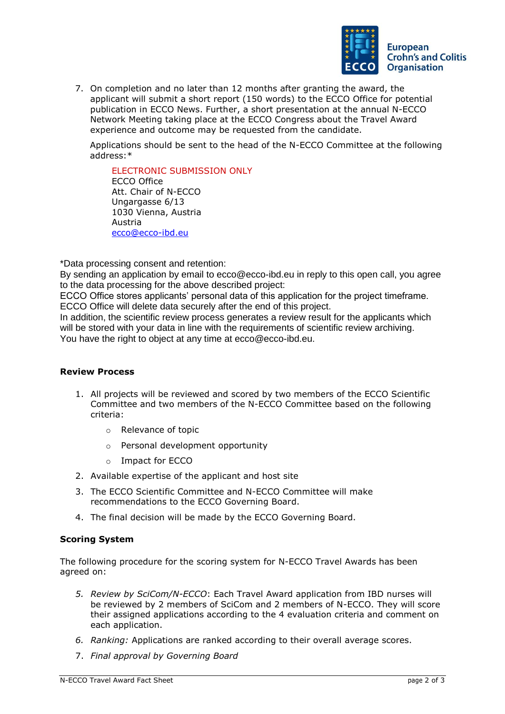

7. On completion and no later than 12 months after granting the award, the applicant will submit a short report (150 words) to the ECCO Office for potential publication in ECCO News. Further, a short presentation at the annual N-ECCO Network Meeting taking place at the ECCO Congress about the Travel Award experience and outcome may be requested from the candidate.

Applications should be sent to the head of the N-ECCO Committee at the following address:\*

ELECTRONIC SUBMISSION ONLY ECCO Office Att. Chair of N-ECCO Ungargasse 6/13 1030 Vienna, Austria Austria [ecco@ecco-ibd.eu](mailto:ecco@ecco-ibd.eu)

\*Data processing consent and retention:

By sending an application by email to ecco@ecco-ibd.eu in reply to this open call, you agree to the data processing for the above described project:

ECCO Office stores applicants' personal data of this application for the project timeframe. ECCO Office will delete data securely after the end of this project.

In addition, the scientific review process generates a review result for the applicants which will be stored with your data in line with the requirements of scientific review archiving. You have the right to object at any time at ecco@ecco-ibd.eu.

## **Review Process**

- 1. All projects will be reviewed and scored by two members of the ECCO Scientific Committee and two members of the N-ECCO Committee based on the following criteria:
	- o Relevance of topic
	- o Personal development opportunity
	- o Impact for ECCO
- 2. Available expertise of the applicant and host site
- 3. The ECCO Scientific Committee and N-ECCO Committee will make recommendations to the ECCO Governing Board.
- 4. The final decision will be made by the ECCO Governing Board.

## **Scoring System**

The following procedure for the scoring system for N-ECCO Travel Awards has been agreed on:

- *5. Review by SciCom/N-ECCO*: Each Travel Award application from IBD nurses will be reviewed by 2 members of SciCom and 2 members of N-ECCO. They will score their assigned applications according to the 4 evaluation criteria and comment on each application.
- *6. Ranking:* Applications are ranked according to their overall average scores.
- 7. *Final approval by Governing Board*